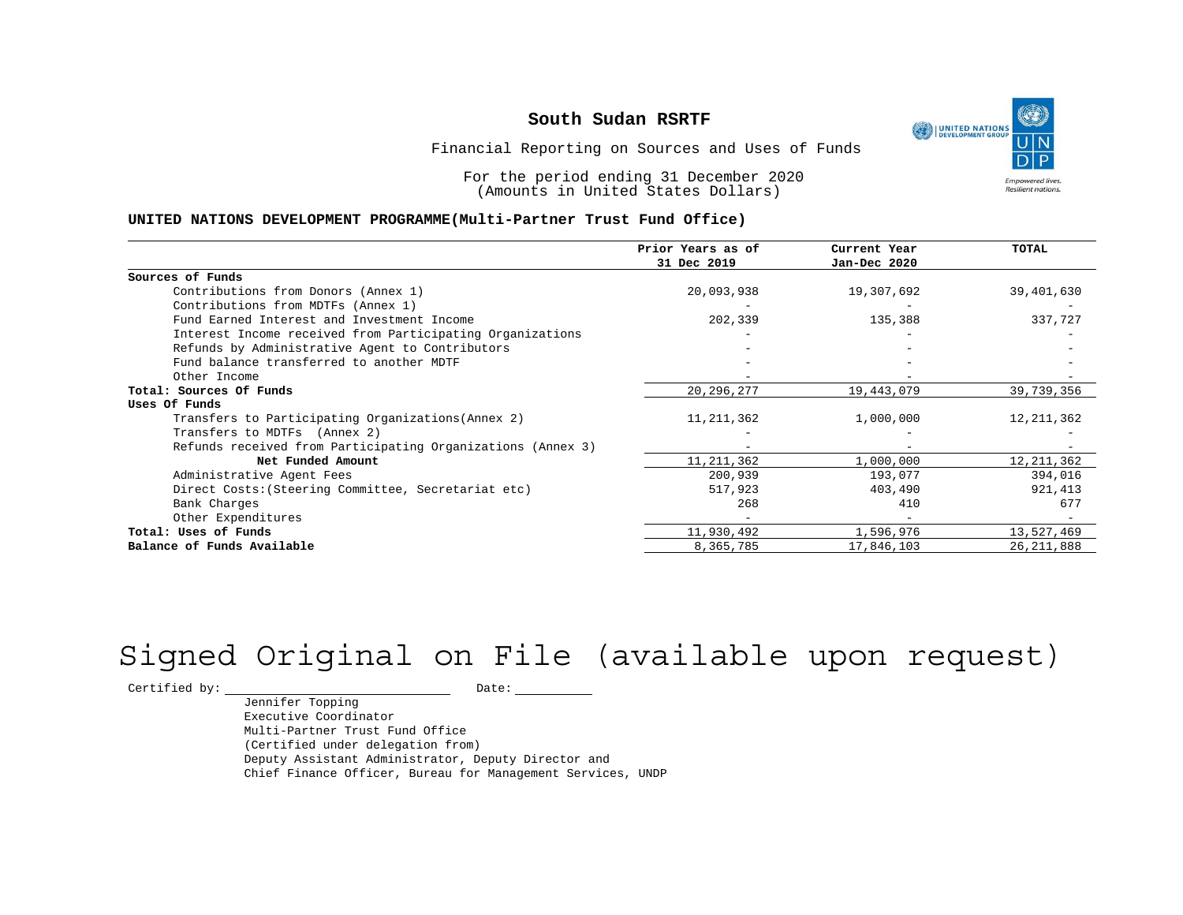UNITED NATIONS **Empowered lives** Resilient nations.

Financial Reporting on Sources and Uses of Funds

For the period ending 31 December 2020 (Amounts in United States Dollars)

#### **UNITED NATIONS DEVELOPMENT PROGRAMME(Multi-Partner Trust Fund Office)**

|                                                             | Prior Years as of        | Current Year      | TOTAL        |
|-------------------------------------------------------------|--------------------------|-------------------|--------------|
|                                                             | 31 Dec 2019              | Jan-Dec 2020      |              |
| Sources of Funds                                            |                          |                   |              |
| Contributions from Donors (Annex 1)                         | 20,093,938               | 19,307,692        | 39,401,630   |
| Contributions from MDTFs (Annex 1)                          |                          |                   |              |
| Fund Earned Interest and Investment Income                  | 202,339                  | 135,388           | 337,727      |
| Interest Income received from Participating Organizations   |                          |                   |              |
| Refunds by Administrative Agent to Contributors             |                          |                   |              |
| Fund balance transferred to another MDTF                    |                          |                   |              |
| Other Income                                                |                          |                   |              |
| Total: Sources Of Funds                                     | 20, 296, 277             | 19,443,079        | 39,739,356   |
| Uses Of Funds                                               |                          |                   |              |
| Transfers to Participating Organizations (Annex 2)          | 11, 211, 362             | 1,000,000         | 12, 211, 362 |
| Transfers to MDTFs (Annex 2)                                |                          |                   |              |
| Refunds received from Participating Organizations (Annex 3) | $\overline{\phantom{m}}$ | $\qquad \qquad -$ |              |
| Net Funded Amount                                           | 11, 211, 362             | 1,000,000         | 12, 211, 362 |
| Administrative Agent Fees                                   | 200,939                  | 193,077           | 394,016      |
| Direct Costs: (Steering Committee, Secretariat etc)         | 517,923                  | 403,490           | 921,413      |
| Bank Charges                                                | 268                      | 410               | 677          |
| Other Expenditures                                          |                          |                   |              |
| Total: Uses of Funds                                        | 11,930,492               | 1,596,976         | 13,527,469   |
| Balance of Funds Available                                  | 8,365,785                | 17,846,103        | 26, 211, 888 |

# Signed Original on File (available upon request)

 $\begin{tabular}{c} \multicolumn{2}{c}{{\texttt{Certified by:}}}} \quad \quad \texttt{Date:} \end{tabular}$ 

Jennifer Topping Executive Coordinator Multi-Partner Trust Fund Office (Certified under delegation from) Deputy Assistant Administrator, Deputy Director and Chief Finance Officer, Bureau for Management Services, UNDP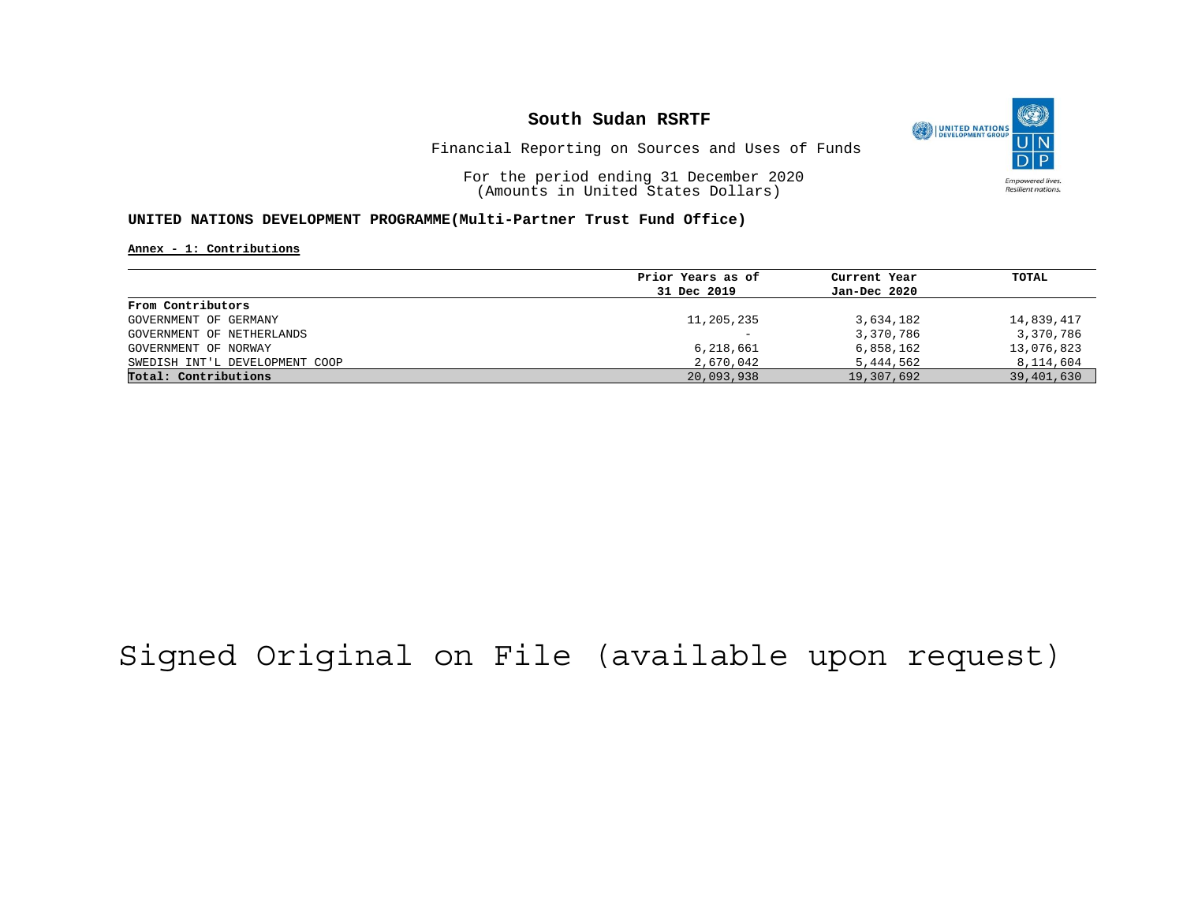

Financial Reporting on Sources and Uses of Funds

For the period ending 31 December 2020 (Amounts in United States Dollars)

#### **UNITED NATIONS DEVELOPMENT PROGRAMME(Multi-Partner Trust Fund Office)**

**Annex - 1: Contributions**

|                                | Prior Years as of | Current Year | TOTAL      |
|--------------------------------|-------------------|--------------|------------|
|                                | 31 Dec 2019       | Jan-Dec 2020 |            |
| From Contributors              |                   |              |            |
| GOVERNMENT OF GERMANY          | 11,205,235        | 3,634,182    | 14,839,417 |
| GOVERNMENT OF NETHERLANDS      |                   | 3,370,786    | 3,370,786  |
| GOVERNMENT OF NORWAY           | 6,218,661         | 6,858,162    | 13,076,823 |
| SWEDISH INT'L DEVELOPMENT COOP | 2,670,042         | 5,444,562    | 8,114,604  |
| Total: Contributions           | 20,093,938        | 19,307,692   | 39,401,630 |

## Signed Original on File (available upon request)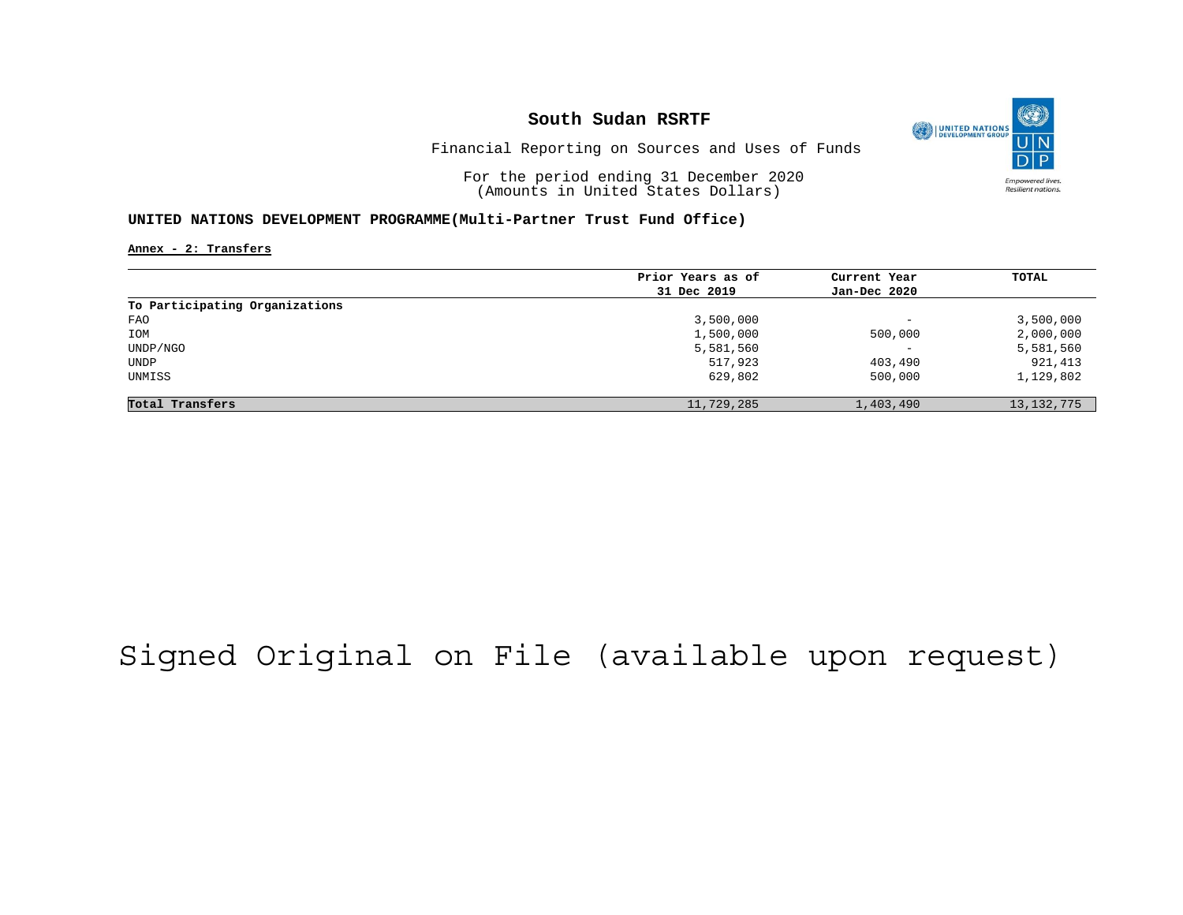

Financial Reporting on Sources and Uses of Funds

For the period ending 31 December 2020 (Amounts in United States Dollars)

### **UNITED NATIONS DEVELOPMENT PROGRAMME(Multi-Partner Trust Fund Office)**

**Annex - 2: Transfers**

|                                | Prior Years as of | Current Year             | TOTAL        |
|--------------------------------|-------------------|--------------------------|--------------|
|                                | 31 Dec 2019       | Jan-Dec 2020             |              |
| To Participating Organizations |                   |                          |              |
| FAO                            | 3,500,000         | $\overline{\phantom{a}}$ | 3,500,000    |
| IOM                            | 1,500,000         | 500,000                  | 2,000,000    |
| UNDP/NGO                       | 5,581,560         | $\overline{\phantom{a}}$ | 5,581,560    |
| UNDP                           | 517,923           | 403,490                  | 921,413      |
| UNMISS                         | 629,802           | 500,000                  | 1,129,802    |
| Total Transfers                | 11,729,285        | 1,403,490                | 13, 132, 775 |

## Signed Original on File (available upon request)